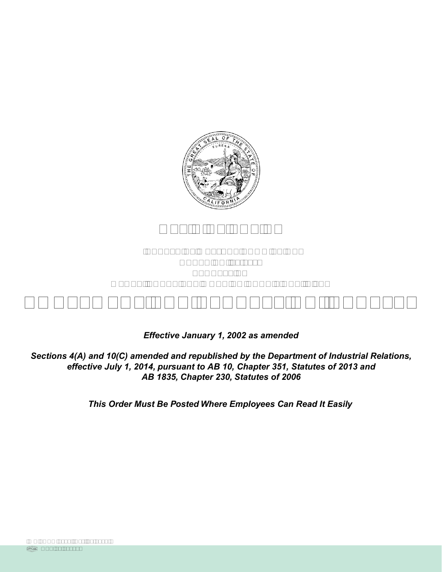

**OFFICIAL NOTICE**

### **WAGES, HOURS AND WORKING CONDITIONS IN THE INDUSTRIAL WELFARE COMMISSION ORDER NO. 10-2001 REGULATING**

# **AMUSEMENT AND RECREATION INDUSTRY**

 *Effective January 1, 2002 as amended*

 *AB 1835, Chapter 230, Statutes of 2006 Sections 4(A) and 10(C) amended and republished by the Department of Industrial Relations, effective July 1, 2014, pursuant to AB 10, Chapter 351, Statutes of 2013 and*

 *This Order Must Be Posted Where Employees Can Read It Easily*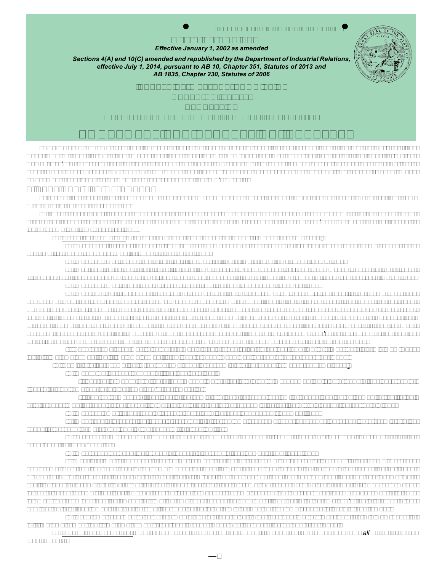**• Please Post With This Side Showing •**

### **OFFICIAL NOTICE**

*Effective January 1, 2002 as amended* 



 *Sections 4(A) and 10(C) amended and republished by the Department of Industrial Relations, effective July 1, 2014, pursuant to AB 10, Chapter 351, Statutes of 2013 and AB 1835, Chapter 230, Statutes of 2006*

### **INDUSTRIAL WELFARE COMMISSION**

 **ORDER NO. 10-2001 REGULATING**

 **WAGES, HOURS AND WORKING CONDITIONS IN THE**

## **AMUSEMENT AND RECREATION INDUSTRY**

 Department of Industrial Relations amends and republishes the minimum wage and meals and lodging credits in the Industrial Welfare Commission's Orders as a result of legislation enacted (AB 10, Ch. 351, Stats of 2013, amending section 1182.12 of the California Labor Code, and AB 1835, Ch. 230, Stats of 2006, adding sections 1182.12 and 1182.13 to the California Labor Code .) The amendments and republishing make no other changes to the IWC's Orders. **TAKE NOTICE:** To employers and representatives of persons working in industries and occupations in the State of California: The

### **1. APPLICABILITY OF ORDER**

 This order shall apply to all persons employed in the amusement and recreation industry whether paid on a time, piece rate, com-mission, or other basis, except that:

 (A) Provisions of Sections 3 through 12 of this order shall not apply to persons employed in administrative, executive, or professional capacities. The following requirements shall apply in determining whether an employee's duties meet the test to qualify for an exemption from those sections:

(1) Executive Exemption. A person employed in an executive capacity means any employee:

 (a) Whose duties and responsibilities involve the management of the enterprise in which he/she is employed or of a customarily recognized department or subdivision thereof; and

(b) Who customarily and regularly directs the work of two or more other employees therein; and

 (c) Who has the authority to hire or fire other employees or whose suggestions and recommendations as to the hiring or firing and as to the advancement and promotion or any other change of status of other employees will be given particular weight; and

(d) Who customarily and regularly exercises discretion and independent judgment; and

 (e) Who is primarily engaged in duties which meet the test of the exemption. The activities constituting exempt work and non-exempt work shall be construed in the same manner as such items are construed in the following regulations under the Fair Labor Standards Act effective as of the date of this order: 29 C.F.R. Sections 541.102, 541.104-111, and 541.15-116. Exempt work shall include, for example, all work that is directly and closely related to exempt work and work which is properly viewed as a means for car- rying out exempt functions. The work actually performed by the employee during the course of the workweek must, first and foremost, be examined and the amount of time the employee spends on such work, together with the employer's realistic expectations and the realistic requirements of the job, shall be considered in determining whether the employee satisfies this requirement.

 (f) Such an employee must also earn a monthly salary equivalent to no less than two (2) times the state minimum wage for full-time employment. Full-time employment is defined in Labor Code Section 515(c) as 40 hours per week.

(2) Administrative Exemption. A person employed in an administrative capacity means any employee:

(a) Whose duties and responsibilities involve either:

 (i) The performance of office or non-manual work directly related to management policies or general business opera-tions of his/her employer or his/her employer's customers; or

 (ii) The performance of functions in the administration of a school system, or educational establishment or institution, or of a department or subdivision thereof, in work directly related to the academic instruction or training carried on therein; and

(b) Who customarily and regularly exercises discretion and independent judgment; and

 (c) Who regularly and directly assists a proprietor, or an employee employed in a bona fide executive or administrative capacity (as such terms are defined for purposes of this section); or

 (d) Who performs under only general supervision work along specialized or technical lines requiring special training, experience, or knowledge; or

(e) Who executes under only general supervision special assignments and tasks; and

 (f) Who is primarily engaged in duties which meet the test of the exemption. The activities constituting exempt work and non-exempt work shall be construed in the same manner as such terms are construed in the following regulations under the Fair Labor Standards Act effective as of the date of this order: 29 C.F.R. Sections 541.201-205, 541.207-208, 541.210, and 541.215. Exempt work shall include, for example, all work that is directly and closely related to exempt work and work which is properly viewed as a means for carrying out exempt functions. The work actually performed by the employee during the course of the workweek must, first and foremost, be examined and the amount of time the employee spends on such work, together with the employer's realistic expectations and the realistic requirements of the job, shall be considered in determining whether the employee satisfies this requirement.

 (g) Such employee must also earn a monthly salary equivalent to no less than two (2) times the state minimum wage for full-time employment. Full-time employment is defined in Labor Code Section 515(c) as 40 hours per week.

 (3) Professional Exemption. A person employed in a professional capacity means any employee who meets *all* of the following requirements: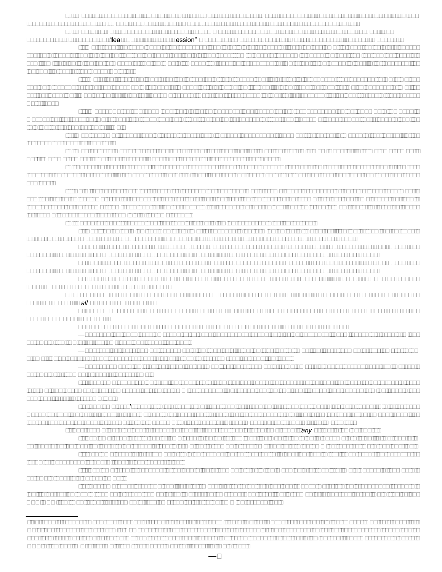(a) Who is licensed or certified by the State of California and is primarily engaged in the practice of one of the following recognized professions: law, medicine, dentistry, optometry, architecture, engineering, teaching, or accounting; or

(b) Who is primarily engaged in an occupation commonly recognized as a learned or artistic profession. For the

purposes of this subsection, "learned or artistic profession" means an employee who is primarily engaged in the performance of:

 (i) Work requiring knowledge of an advanced type in a field or science or learning customarily acquired by a prolonged course of specialized intellectual instruction and study, as distinguished from a general academic education and from an apprenticeship, and from training in the performance of routine mental, manual, or physical processes, or work that is an essential part of or necessarily incident to any of the above work; or

 (ii) Work that is original and creative in character in a recognized field of artistic endeavor (as opposed to work which can be produced by a person endowed with general manual or intellectual ability and training), and the result of which depends primarily on the invention, imagination, or talent of the employee or work that is an essential part of or necessarily incident to any of the above work; and

 (iii) Whose work is predominantly intellectual and varied in character (as opposed to routine mental, manual, mechanical, or physical work) and is of such character that the output produced or the result accomplished cannot be standardized in relation to a given period of time.

 (c) Who customarily and regularly exercises discretion and independent judgment in the performance of duties set forth in subparagraphs (a) and (b).

 (d) Who earns a monthly salary equivalent to no less than two (2) times the state minimum wage for full-time employment. Full-time employment is defined in Labor Code Section 515 (c) as 40 hours per week.

 (e) Subparagraph (b) above is intended to be construed in accordance with the following provisions of federal law as they existed as of the date of this wage order: 29 C.F.R. Sections 541.207, 541.301(a)-(d), 541.302, 541.306, 541.307, 541.308, and 541.310.

 (f) Notwithstanding the provisions of this subparagraph, pharmacists employed to engage in the practice of pharmacy, and registered nurses employed to engage in the practice of nursing, shall not be considered exempt professional employees, nor shall they be considered exempt from coverage for the purposes of this subparagraph unless they individually meet the criteria established for exemption as executive or administrative employees.

(g) Subparagraph (f) above shall not apply to the following advanced practice nurses:

 (i) Certified nurse midwives who are primarily engaged in performing duties for which certification is required pursuant to Article 2.5 (commencing with Section 2746) of Chapter 6 of Division 2 of the Business and Professions Code.

 (ii) Certified nurse anesthetists who are primarily engaged in performing duties for which certification is required pursuant to Article 7 (commencing with Section 2825) of Chapter 6 of Division 2 of the Business and Professions Code.

 (iii) Certified nurse practitioners who are primarily engaged in performing duties for which certification is required pursuant to Article 8 (commencing with Section 2834) of Chapter 6 of Division 2 of the Business and Professions Code.

 (iv) Nothing in this subparagraph shall exempt the occupations set forth in clauses (i), (ii), and (iii) from meeting the requirements of subsection 1(A)(3)(a)-(d) above.

 (h) Except, as provided in subparagraph (i), an employee in the computer software field who is paid on an hourly basis shall be exempt, if *all* of the following apply:

 (i) The employee is primarily engaged in work that is intellectual or creative and requires the exercise of discretion and independent judgment.

(ii) The employee is primarily engaged in duties that consist of one or more of the following:

 —The application of systems analysis techniques and procedures, including consulting with users, to determine hardware, software, or system functional specifications.

 —The design, development, documentation, analysis, creation, testing, or modification of computer systems or pro-grams, including prototypes, based on and related to user or system design specifications.

 —The documentation, testing, creation, or modification of computer programs related to the design of software or hardware for computer operating systems.

 (iii) The employee is highly skilled and is proficient in the theoretical and practical application of highly specialized information to computer systems analysis, programming, and software engineering. A job title shall not be determinative of the applicability of this exemption.

 (iv) The employee's hourly rate of pay is not less than forty-one dollars (\$41.00). The Division of Labor Statistics and Research shall adjust this pay rate on October 1 of each year to be effective on January 1 of the following year by an amount equal to the percentage increase in the California Consumer Price Index for Urban Wage Earners and Clerical Workers.\*

(i) The exemption provided in subparagraph (h) does not apply to an employee if *any* of the following apply:

 (i) The employee is a trainee or employee in an entry-level position who is learning to become proficient in the theoreti-cal and practical application of highly specialized information to computer systems analysis, programming, and software engineering.

 (ii) The employee is in a computer-related occupation but has not attained the level of skill and expertise necessary to work independently and without close supervision.

 (iii) The employee is engaged in the operation of computers or in the manufacture, repair, or maintenance of computer hardware and related equipment.

 (iv) The employee is an engineer, drafter, machinist, or other professional whose work is highly dependent upon or facilitated by the use of computers and computer software programs and who is skilled in computer-aided design software, including CAD/CAM, but who is not in a computer systems analysis or programming occupation.

 \* Pursuant to Labor Code section 515.5, subdivision (a)(4), the Office of Policy, Research and Legislation, Department of Industrial Relations, has adjusted the minimum hourly rate of pay specified in this subdivision to be \$49.77, effective January 1, 2007. This hourly rate of pay is adjusted on October 1 of each year to be effective on January 1, of the following year, and may be obtained at [www.dir.ca.gov/IWC o](http://www.dir.ca.gov/IWC)r by mail from the Department of Industrial Relations.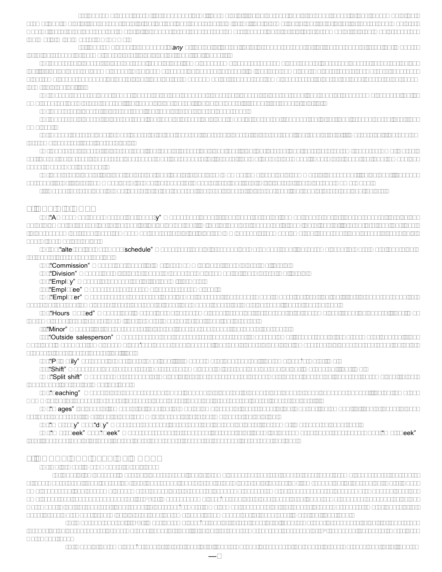(v) The employee is a writer engaged in writing material, including box labels, product descriptions, documentation, promotional material, setup and installation instructions, and other similar written information, either for print or for on screen media or who writes or provides content material intended to be read by customers, subscribers, or visitors to computer-related media such as the World Wide Web or CD-ROMs.

 (vi) The employee is engaged in *any* of the activities set forth in subparagraph (h) for the purpose of creating imagery for effects used in the motion picture, television, or theatrical industry.

 (B) The provisions of this order shall apply to all employees employed by any employer operating a business at a horse racing facility, including stable employees. Stable employees include but are not limited to grooms, hot walkers, exercise workers, and any other employees engaged in the raising, feeding, or management of racehorses, employed by a trainer at a racetrack or other non-farm training facility.

 (C) Except as provided in Sections 1, 2, 4, 10, and 20, the provisions of this order shall not apply to any employees directly employed by the State or any political subdivision thereof, including any city, county, or special district.

(D) The provisions of this order shall not apply to outside salespersons.

 (E) The provisions of this order shall not apply to any individual who is the parent, spouse, child, or legally adopted child of the employer.

 (F) Except as provided in Sections 1, 2, 4, 10, and 20, the provisions of this order shall not apply to full-time carnival ride opera-tors employed by traveling carnivals.

 (G) The provisions of this order shall not apply to any individual participating in a national service program, such as AmeriCorps, carried out using assistance provided under Section 12571 of Title 42 of the United States Code. (See Stats. 2000, ch. 365, amending Labor Code Section 1171.)

 (H) The provisions of this section are not applicable to any crew member employed on a commercial passenger fishing boat licensed pursuant to Article 5 (commencing with Section 7920) of Chapter 1 of Part 3 of Division 6 of the Fish and Game Code.

(I) Except as provided in Sections 1, 2, 4, 10, and 20, the provisions of this order shall not apply to professional actors.

### **2. DEFINITIONS**

 (A) "Amusement and Recreation Industry" means any industry, business, or establishment operated for the purpose of furnishing entertainment or recreation to the public, including but not limited to theaters, dance halls, bowling alleys, billiard parlors, skating rinks, riding academies, racetracks, amusement parks, athletic fields, swimming pools, gymnasiums, golf courses, tennis courts, carnivals, and wired music studios.

 (B) An "alternative workweek schedule" means any regularly scheduled workweek requiring an employee to work more than eight (8) hours in a 24-hour period.

(C) "Commission" means the Industrial Welfare Commission of the State of California.

(D) "Division" means the Division of Labor Standards Enforcement of the State of California.

(E) "Employ" means to engage, suffer, or permit to work.

(F) "Employee" means any person employed by an employer.

 (G) "Employer" means any person as defined in Section 18 of the Labor Code, who directly or indirectly, or through an agent or any other person, employs or exercises control over the wages, hours, or working conditions of any person.

 (H) "Hours worked" means the time during which an employee is subject to the control of an employer, and includes all the time the employee is suffered or permitted to work, whether or not required to do so.

(I) "Minor" means, for the purpose of this order, any person under the age of 18 years.

 (J) "Outside salesperson" means any person, 18 years of age or over, who customarily and regularly works more than half the working time away from the employer's place of business selling tangible or intangible items or obtaining orders or contracts for products, services or use of facilities.

(K) "Primarily" as used in Section 1, Applicability, means more than one-half the employee's work time.

(L) "Shift" means designated hours of work by an employee, with a designated beginning time and quitting time.

 (M) "Split shift" means a work schedule, which is interrupted by non-paid non-working periods established by the employer, other than bona fide rest or meal periods.

 (N) "Teaching" means, for the purpose of Section 1 of this order, the profession of teaching under a certificate from the Commission for Teacher Preparation and Licensing or teaching in an accredited college or university.

 (O) "Wages" includes all amounts for labor performed by employees of every description, whether the amount is fixed or ascertained by the standard of time, task, piece, commission basis, or other method of calculation.

(P) "Workday" and "day" mean any consecutive 24-hour period beginning at the same time each calendar day.

 (Q) "Workweek" and "week" mean any seven (7) consecutive days, starting with the same calendar day each week. "Workweek" is a fixed and regularly recurring period of 168 hours, seven (7) consecutive 24-hour periods.

### **3. HOURS AND DAYS OF WORK**

(A) Daily Overtime - General Provisions

(1) The following overtime provisions are applicable to employees 18 years of age or over and to employees 16 or 17 years of age who are not required by law to attend school and are not otherwise prohibited by law from engaging in the subject work. Such employees shall not be employed more than eight (8) hours in any workday or more than 40 hours in any workweek unless the employee receives one and one-half (1<sup>1</sup>/2) times such employee's regular rate of pay for all hours worked over 40 hours in the workweek. Eight (8) hours of labor constitutes a day's work. Employment beyond eight (8) hours in any workday or more than six (6) days in any workweek is permissible provided the employee is compensated for such overtime at not less than:

(a) One and one-half (1<sup>1</sup>/2)times the employee's regular rate of pay for all hours worked in excess of eight (8) hours up to and including 12 hours in any workday, and for the first eight  $(8)$  hours worked on the seventh  $(7<sup>th</sup>)$  consecutive day of work in a workweek; and

(b) Double the employee's regular rate of pay for all hours worked in excess of 12 hours in any workday and for all hours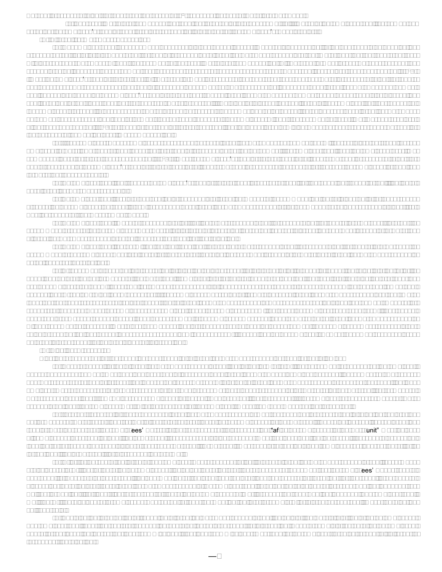worked in excess of eight (8) hours on the seventh  $(7<sup>th</sup>)$  consecutive day of work in a workweek.

 (c) The overtime rate of compensation required to be paid to a nonexempt full-time salaried employee shall be computed by using the employee's regular hourly salary as one-fortieth (1/40) of the employee's weekly salary.

(B) Alternative Workweek Schedules

(1) No employer shall be deemed to have violated the daily overtime provisions by instituting, pursuant to the election procedures set forth in this wage order, a regularly scheduled alternative workweek schedule of not more than ten (10) hours per day within a 40 hour workweek without the payment of an overtime rate of compensation. All work performed in any workday beyond the schedule established by the agreement up to 12 hours a day or beyond 40 hours per week shall be paid at one and one-half  $(1^{1/2})$ times the employee's regular rate of pay. All work performed in excess of 12 hours per day and any work in excess of eight (8) hours on those days worked beyond the regularly scheduled number of workdays established by the alternative workweek agreement shall be paid at double the employee's regular rate of pay. Any alternative workweek agreement adopted pursuant to this section shall provide for not less than four (4) hours of work in any shift. Nothing in this section shall prohibit an employer, at the request of the employee, to substitute one day of work for another day of the same length in the shift provided by the alternative workweek agreement on an occasional basis to meet the personal needs of the employee without the payment of overtime. No hours paid at either one and one-half (1<sup>1/2</sup>) or double the regular rate of pay shall be included in determining when 40 hours have been worked for the purpose of computing overtime compensation.

(2) If an employer whose employees have adopted an alternative workweek agreement permitted by this order requires an employee to work fewer hours than those that are regularly scheduled by the agreement, the employer shall pay the employee overtime compensation at a rate of one and one-half (1<sup>1/2</sup>) times the employee's regular rate of pay for all hours worked in excess of eight (8) hours, and double the employee's regular rate of pay for all hours worked in excess of 12 hours for the day the employee is required to work the reduced hours.

 (3) An employer shall not reduce an employee's regular rate of hourly pay as a result of the adoption, repeal or nullification of an alternative workweek schedule.

 (4) An employer shall explore any available reasonable alternative means of accommodating the religious belief or observance of an affected employee that conflicts with an adopted alternative workweek schedule, in the manner provided by subdivision (j) of Section 12940 of the Government Code.

 (5) An employer shall make a reasonable effort to find a work schedule not to exceed eight (8) hours in a workday, in order to accommodate any affected employee who was eligible to vote in an election authorized by this section and who is unable to work the alternative workweek schedule established as the result of that election.

 accommodate any employee who is hired after the date of the election and who is unable to work the alternative workweek schedule established by the election. (6) An employer shall be permitted, but not required, to provide a work schedule not to exceed eight (8) hours in a workday to

 (7) Arrangements adopted in a secret ballot election held pursuant to this order prior to 1998, or under the rules in effect prior to 1998, and before the performance of the work, shall remain valid after July 1, 2000 provided that the results of the election are reported by the employer to the Office of Policy, Research and Legislation by January 1, 2001, in accordance with the requirements of subsection (C) below (Election Procedures). If an employee was voluntarily working an alternative workweek schedule of not more than ten (10) hours a day as of July 1, 1999, that alternative workweek schedule was based on an individual agreement made after January 1, 1998 between the employee and employer, and the employee submitted, and the employer approved, a written request on or before May 30, 2000 to continue the agreement, the employee may continue to work that alternative workweek schedule without payment of an overtime rate of compensation for the hours provided in the agreement. The employee may revoke his/her voluntary authorization to continue such a schedule with 30 days written notice to the employer. New arrangements can only be entered into pursuant to the provisions of this section.

(C) Election Procedures

Election procedures for the adoption and repeal of alternative workweek schedules require the following:

 (1) Each proposal for an alternative workweek schedule shall be in the form of a written agreement proposed by the employer. The proposed agreement must designate a regularly scheduled alternative workweek in which the specified number of work days and work hours are regularly recurring. The actual days worked within that alternative workweek schedule need not be specified. The employer may propose a single work schedule that would become the standard schedule for workers in the work unit, or a menu of work schedule options, from which each employee in the unit would be entitled to choose. If the employer proposes a menu of work schedule options, the employee may, with the approval of the employer, move from one menu option to another.

 (2) In order to be valid, the proposed alternative workweek schedule must be adopted in a secret ballot election, before the performance of work, by at least a two-thirds (2/3) vote of the affected employees in the work unit. The election shall be held during regular working hours at the employees' work site. For purposes of this subsection, "affected employees in the work unit" may include all employees in a readily identifiable work unit, such as a division, a department, a job classification, a shift, a separate physical location, or a recognized subdivision of any such work unit. A work unit may consist of an individual employee as long as the criteria for an identifiable work unit in this subsection are met.

 (3) Prior to the secret ballot vote, any employer who proposed to institute an alternative workweek schedule shall have made a disclosure in writing to the affected employees, including the effects of the proposed arrangement on the employees' wages, hours, and benefits. Such a disclosure shall include meeting(s), duly noticed, held at least 14 days prior to voting, for the specific purpose of discussing the effects of the alternative workweek schedule. An employer shall provide that disclosure in a non-English language, as well as in English, if at least five (5) percent of the affected employees primarily speak that non-English language. The employer shall mail the written disclosure to employees who do not attend the meeting. Failure to comply with this paragraph shall make the election null and void.

 (4) Any election to establish or repeal an alternative workweek schedule shall be held at the work site of the affected employees. The employer shall bear the costs of conducting any election held pursuant to this section. Upon a complaint by an affected employee, and after an investigation by the labor commissioner, the labor commissioner may require the employer to select a neutral third party to conduct the election.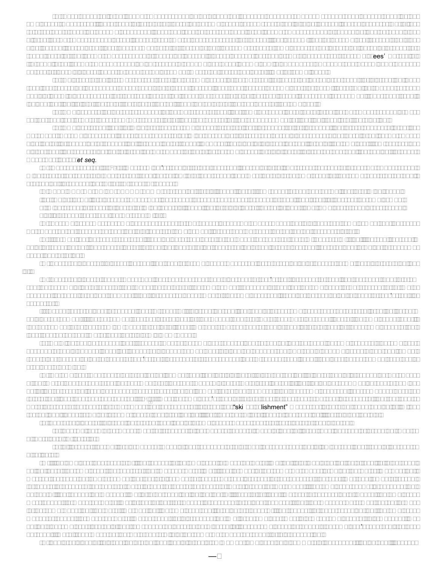(5) Any type of alternative workweek schedule that is authorized by the Labor Code may be repealed by the affected employees. Upon a petition of one-third (1/3) of the affected employees, a new secret ballot election shall be held and a two-thirds (2/3) vote of the affected employees shall be required to reverse the alternative workweek schedule. The election to repeal the alternative workweek schedule shall be held not more than 30 days after the petition is submitted to the employer, except that the election shall be held not less than 12 months after the date that the same group of employees voted in an election held to adopt or repeal an alter- native workweek schedule. The election shall take place during regular working hours at the employees' work site. If the alternative workweek schedule is revoked, the employer shall comply within 60 days. Upon proper showing of undue hardship, the Division of Labor Standards Enforcement may grant an extension of time for compliance.

 (6) Only secret ballots may be cast by affected employees in the work unit at any election held pursuant to this section. The results of any election conducted pursuant to this section shall be reported by the employer to the Office of Policy, Research and Legislation within 30 days after the results are final, and the report of election results shall be a public document. The report shall include the final tally of the vote, the size of the unit, and the nature of the business of the employer.

 (7) Employees affected by a change in the work hours resulting from the adoption of an alternative workweek schedule may not be required to work those new work hours for at least 30 days after the announcement of the final results of the election.

 (8) Employers shall not intimidate or coerce employees to vote either in support of or in opposition to a proposed alternative workweek. No employees shall be discharged or discriminated against for expressing opinions concerning the alternative workweek election or for opposing or supporting its adoption or repeal. However, nothing in this section shall prohibit an employer from expressing his/her position concerning that alternative workweek to the affected employees. A violation of this paragraph shall be subject to Labor Code Section 98 *et seq.* 

(D) One and one-half (1<sup>1</sup>/2) times a minor's regular rate of pay shall be paid for all work over 40 hours in any workweek except minors 16 or 17 years old who are not required by law to attend school and may therefore be employed for the same hours as an adult are subject to subsection (A) or (B) and (C) above.

 (**VIOLATIONS OF CHILD LABOR LAWS** are subject to civil penalties of from \$500 to \$10,000 as well as to criminal penal- ties. Refer to California Labor Code Sections 1285 to 1312 and 1390 to 1399 for additional restrictions on the employment of minors and for descriptions of criminal and civil penalties for violation of the child labor laws. Employers should ask school districts about any required work permits.)

 (E) An employee may be employed on seven (7) workdays in one workweek when the total hours of employment during such workweek do not exceed 30 and the total hours of employment in any one workday thereof do not exceed six (6).

 (F) If a meal period occurs on a shift beginning or ending at or between the hours of 10 p.m. and 6 a.m., facilities shall be avail- able for securing hot food and drink or for heating food or drink, and a suitable sheltered place shall be provided in which to consume such food or drink.

 (G) The provisions of this section shall not apply to employees whose duties are exclusively those of a motion picture projection ist.

 (H) The provisions of Labor Code Sections 551 and 552 regarding one (1) day's rest in seven (7) shall not be construed to pre- vent an accumulation of days of rest when the nature of the employment reasonably requires the employee to work seven (7) or more consecutive days; provided, however, that in each calendar month, the employee shall receive the equivalent of one (1) day's rest in seven (7).

 (I) Except as provided in subsections (D) and (H), this section shall not apply to any employee covered by a valid collective bar- gaining agreement if the agreement expressly provides for the wages, hours of work, and working conditions of the employees, and if the agreement provides premium wage rates for all overtime hours worked and a regular hourly rate of pay for those employees of not less than 30 percent more than the state minimum wage.

 (J) Notwithstanding subsection (I) above, where the employer and a labor organization representing employees of the employer have entered into a valid collective bargaining agreement pertaining to the hours of work of the employees, the requirement regarding the equivalent of one (1) day's rest in seven (7) (see subsection (H) above) shall apply, unless the agreement expressly provides otherwise.

(K) No employer who operates a ski establishment shall be in violation of this order by instituting a regularly scheduled workweek of not more than 48 hours during any month of the year when Alpine or Nordic skiing activities, including snowmaking and grooming activities, are actually being conducted by the ski establishment; provided, however, that any employee shall be compensated at a rate of not less than one and one-half (1½) times the employee's regular rate of pay for any hours worked in excess of ten (10) hours work in a day or 48 hours in a workweek. For purposes of this section, "ski establishment" means an integrated, geographically limited recreational industry which is comprised of basic skiing facilities, together with all operations and facilities related thereto.

(L) The provisions of this section are not applicable to employees whose hours of service are regulated by:

 (1) The United States Department of Transportation Code of Federal Regulations, Title 49, Sections 395.1 to 395.13, Hours of Service of Drivers; or

 (2) Title 13 of the California Code of Regulations, subchapter 6.5, Section 1200 and the following sections, regulating hours of drivers.

 (M) If an employer approves a written request of an employee to make up work time that is or would be lost as a result of a personal obligation of the employee, the hours of that makeup work time, if performed in the same workweek in which the work time was lost, may not be counted toward computing the total number of hours worked in a day for purposes of the overtime requirements, except for hours in excess of 11 hours of work in one (1) day or 40 hours of work in one (1) workweek. If an employee knows in advance that he/she will be requesting makeup time for a personal obligation that will recur at a fixed time over a succession of weeks, the employee may request to make up work time for up to four (4) weeks in advance; provided, however, that the makeup work must be performed in the same week that the work time was lost. An employee shall provide a signed written request for each occasion that the employee makes a request to make up work time pursuant to this subsection. While an employer may inform an employee of this makeup time option, the employer is prohibited from encouraging or otherwise soliciting an employee to request the employer's approval to take personal time off and make up the work hours within the same workweek pursuant to this subsection.

(N) The provisions of this section are not applicable to any crew member employed on a commercial passenger fishing boat licensed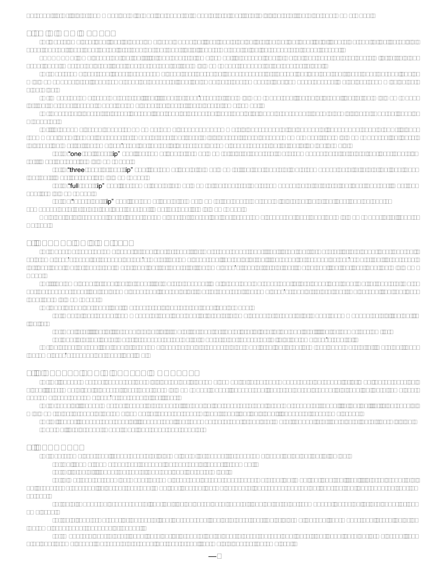pursuant to Article 5 (commencing with Section 7920) of Chapter 1 of Part 3 of Division 6 of the Fish and Game Code.

### **4. MINIMUM WAGES**

 (A) Every employer shall pay to each employee wages not less than nine dollars (\$9.00) per hour for all hours worked, effective July 1, 2014, and not less than ten dollars (\$10.00) per hour for all hours worked, effective January 1, 2016, except:

 LEARNERS. Employees during their first 160 hours of employment in occupations in which they have no previous similar or related experience, may be paid not less than 85 percent of the minimum wage rounded to the nearest nickel.

 (B) Every employer shall pay to each employee, on the established payday for the period involved, not less than the applicable minimum wage for all hours worked in the payroll period, whether the remuneration is measured by time, piece, commission, or otherwise.

 (C) When an employee works a split shift, one (1) hour's pay at the minimum wage shall be paid in addition to the minimum wage for that workday, except when the employee resides at the place of employment.

 (D) The provisions of this section shall not apply to apprentices regularly indentured under the State Division of Apprenticeship Standards.

 (E) If the employee is a crew member employed on a commercial passenger fishing boat licensed pursuant to Article 5 (commencing with Section 7920) of Chapter 1 of Part 3 of Division 6 of the Fish and Game Code, the minimum wage obligation of this section may, at the employer's option, be satisfied by paying employees according to the following formula:

 (1) A "one-half day trip" shall be comprised of a maximum of six (6) hours of work compensated at a rate of no less than six (6) times the hourly minimum wage.

 (2) A "three-quarter day trip" shall be comprised of a maximum of ten (10) hours of work compensated at a rate of no less than ten (10) times the hourly minimum wage.

 (3) A "full-day trip" shall be comprised of a maximum of 12 hours of work compensated at a rate of no less than 12 times the hourly minimum wage.

 (4) An "overnight trip" shall be comprised of a maximum of 12 hours worked within a period of no less than 24 hours compensated at a rate of no less than 12 times the hourly minimum wage.

 Nothing in this subsection relieves the employer of the obligation to pay employees no less than the minimum wage for all hours worked.

### **5. REPORTING TIME PAY**

 (A) Each workday an employee is required to report for work and does report, but is not put to work or is furnished less than half said employee's usual or scheduled day's work, the employee shall be paid for half the usual or scheduled day's work, but in no event for less than two (2) hours nor more than four (4) hours, at the employee's regular rate of pay, which shall not be less than the minimum wage.

 (B) If an employee is required to report for work a second time in any one workday and is furnished less than two (2) hours of work on the second reporting, said employee shall be paid for two (2) hours at the employee's regular rate of pay, which shall not be less than the minimum wage.

(C) The foregoing reporting time pay provisions are not applicable when:

 (1) Operations cannot commence or continue due to threats to employees or property; or when recommended by civil authorities; or

(2) Public utilities fail to supply electricity, water, or gas, or there is a failure in the public utilities, or sewer system; or

(3) The interruption of work is caused by an Act of God or other cause not within the employer's control.

 (D) This section shall not apply to an employee on paid standby status who is called to perform assigned work at a time other than the employee's scheduled reporting time.

### **6. LICENSES FOR DISABLED WORKERS**

 (A) A license may be issued by the Division authorizing employment of a person whose earning capacity is impaired by physical disability or mental deficiency at less than the minimum wage. Such licenses shall be granted only upon joint application of employer and employee and employee's representative if any.

 (B) A special license may be issued to a nonprofit organization such as a sheltered workshop or rehabilitation facility fixing special minimum rates to enable the employment of such persons without requiring individual licenses of such employees.

 (C) All such licenses and special licenses shall be renewed on a yearly basis or more frequently at the discretion of the Division. (See California Labor Code, Sections 1191 and 1191.5)

### **7. RECORDS**

(A) Every employer shall keep accurate information with respect to each employee including the following:

- (1) Full name, home address, occupation and social security number.
- (2) Birth date, if under 18 years, and designation as a minor.

 (3) Time records showing when the employee begins and ends each work period. Meal periods, split shift intervals and total daily hours worked shall also be recorded. Meal periods during which operations cease and authorized rest periods need not be recorded.

 (4) Total wages paid each payroll period, including value of board, lodging, or other compensation actually furnished to the employee.

 (5) Total hours worked in the payroll period and applicable rates of pay. This information shall be made readily available to the employee upon reasonable request.

 (6) When a piece rate or incentive plan is in operation, piece rates or an explanation of the incentive plan formula shall be provided to employees. An accurate production record shall be maintained by the employer.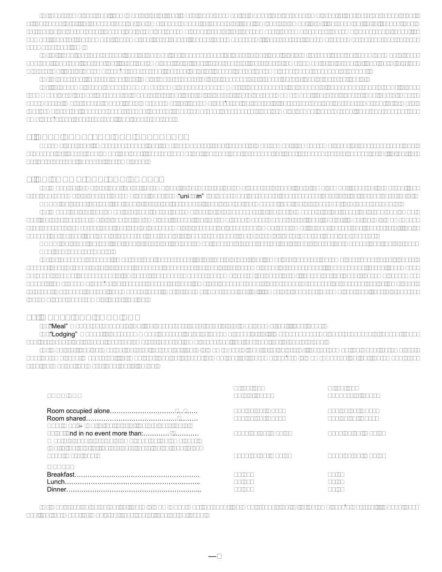(B) Every employer shall semimonthly or at the time of each payment of wages furnish each employee, either as a detachable part of the check, draft, or voucher paying the employees wages, or separately, an itemized statement in writing showing: (1) all deductions; (2) the inclusive dates of the period for which the employee is paid; (3) the name of the employee or the employees social security number; and (4) the name of the employer, provided all deductions made on written orders of the employee may be aggregated and shown as one item.

 (C) All required records shall be in the English language and in ink or other indelible form, properly dated, showing month, day and year, and shall be kept on file by the employer for at least three years at the place of employment or at a central location within the State of California. An employee's records shall be available for inspection by the employee upon reasonable request.

(D) Clocks shall be provided in all major work areas or within reasonable distance thereto insofar as practicable.

 (E) If the employee is a crew member employed on a commercial passenger fishing boat licensed pursuant to Article 5 (commencing with Section 7920) of Chapter 1 of Part 3 of Division 6 of the Fish and Game Code, the provisions of Sections 3, Hours and Days of Work, and 5, Reporting Time Pay may, at the employer's option, be satisfied by expressing the hours worked in terms of the formula established pursuant to Section 4(E). Hours worked in excess of the formula in Section 4(E) shall be recorded on the employee's pay record as additional hours worked.

### **8. CASH SHORTAGE AND BREAKAGE**

 No employer shall make any deduction from the wage or require any reimbursement from an employee for any cash shortage, breakage, or loss of equipment, unless it can be shown that the shortage, breakage, or loss is caused by a dishonest or willful act, or by the gross negligence of the employee.

### **9. UNIFORMS AND EQUIPMENT**

(A) When uniforms are required by the employer to be worn by the employee as a condition of employment, such uniforms shall be provided and maintained by the employer. The term "uniform" includes wearing apparel and accessories of distinctive design or color.

**NOTE:** This section shall not apply to protective apparel regulated by the Occupational Safety and Health Standards Board.

 (B) When tools or equipment are required by the employer or are necessary to the performance of a job, such tools and equipment shall be provided and maintained by the employer, except that an employee whose wages are at least two (2) times the minimum wage provided herein may be required to provide and maintain hand tools and equipment customarily required by the trade or craft. This subsection (B) shall not apply to apprentices regularly indentured under the State Division of Apprenticeship Standards.

**NOTE:** This section shall not apply to protective equipment and safety devices on tools regulated by the Occupational Safety and

Health Standards Board.

 (C) A reasonable deposit may be required as security for the return of the items furnished by the employer under provisions of subsections (A) and (B) of this section upon issuance of a receipt to the employee for such deposit. Such deposits shall be made pursuant to Section 400 and following of the Labor Code or an employer with the prior written authorization of the employee may deduct from the employee's last check the cost of an item furnished pursuant to (A) and (B) above in the event said item is not returned. No deduction shall be made at any time for normal wear and tear. All items furnished by the employer shall be returned by the employee upon completion of the job.

### **10. MEALS AND LODGING**

(A) "Meal" means an adequate, well-balanced serving of a variety of wholesome, nutritious foods.

 (B) "Lodging" means living accommodations available to the employee for full-time occupancy which are adequate, decent, and sanitary according to usual and customary standards. Employees shall not be required to share a bed.

 (C) Meals or lodging may not be credited against the minimum wage without a voluntary written agreement between the employer and the employee. When credit for meals or lodging is used to meet part of the employer's minimum wage obligation, the amounts so credited may not be more than the following:

| <b>LODGING</b>                                                                                                | <b>Effective</b><br>July 1, 2014     | <b>Effective</b><br><b>January 1, 2016</b> |
|---------------------------------------------------------------------------------------------------------------|--------------------------------------|--------------------------------------------|
| Apartment – two thirds $(2/3)$ of the ordinary rental                                                         | \$42.33 per week<br>\$34.94 per week | \$47.03 per week<br>\$38.82 per week       |
| Where a couple are both employed by the employer,<br>two thirds (2/3) of the ordinary rental value, and in no | \$508.38 per month                   | \$564.81 per month                         |
| event more than:                                                                                              | \$752.02 per month                   | \$835.49 per month                         |
| <b>MEALS</b>                                                                                                  |                                      |                                            |
|                                                                                                               | \$3.26                               | \$3.62                                     |
|                                                                                                               | \$4.47                               | \$4.97                                     |
|                                                                                                               | \$6.01                               | \$6.68                                     |

 (D) Meals evaluated as part of the minimum wage must be bona fide meals consistent with the employee's work shift. Deductions shall not be made for meals not received or lodging not used.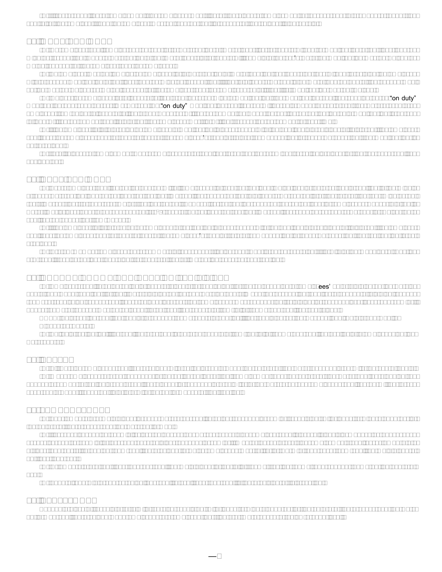(E) If, as a condition of employment, the employee must live at the place of employment or occupy quarters owned or under the control of the employer, then the employer may not charge rent in excess of the values listed herein.

### **11. MEAL PERIODS**

 (A) No employer shall employ any person for a work period of more than five (5) hours without a meal period of not less than 30 minutes, except that when a work period of not more than six (6) hours will complete the day's work the meal period may be waived by mutual consent of the employer and the employee.

 (B) An employer may not employ an employee for a work period of more than ten (10) hours per day without providing the employee with a second meal period of not less than 30 minutes, except that if the total hours worked is no more than 12 hours, the second meal period may be waived by mutual consent of the employer and the employee only if the first meal period was not waived.

 (C) Unless the employee is relieved of all duty during a 30 minute meal period, the meal period shall be considered an "on duty" meal period and counted as time worked. An "on duty" meal period shall be permitted only when the nature of the work prevents an employee from being relieved of all duty and when by written agreement between the parties an on-the-job paid meal period is agreed to. The written agreement shall state that the employee may, in writing, revoke the agreement at any time.

 (D) If an employer fails to provide an employee a meal period in accordance with the applicable provisions of this order, the employer shall pay the employee one (1) hour of pay at the employee's regular rate of compensation for each workday that the meal period is not provided.

 (E) In all places of employment where employees are required to eat on the premises, a suitable place for that purpose shall be designated.

### **12. REST PERIODS**

 (A) Every employer shall authorize and permit all employees to take rest periods, which insofar as practicable shall be in the middle of each work period. The authorized rest period time shall be based on the total hours worked daily at the rate of ten (10) minutes net rest time per four (4) hours or major fraction thereof. However, a rest period need not be authorized for employees whose total daily work time is less than three and one-half (31/2) hours. Authorized rest period time shall be counted as hours worked for which there shall be no deduction from wages.

 (B) If an employer fails to provide an employee a rest period in accordance with the applicable provisions of this order, the employer shall pay the employee one (1) hour of pay at the employee's regular rate of compensation for each workday that the rest period is not provided.

 (C) A crew member employed on a commercial passenger fishing boat who is on an overnight trip within the meaning of Section 4(E) shall receive no less than eight (8) hours off-duty time during each 24-hour period.

### **13. CHANGE ROOMS AND RESTING FACILITIES**

 (A) Employers shall provide suitable lockers, closets, or equivalent for the safekeeping of employees' outer clothing during working hours, and when required, for their work clothing during non-working hours. When the occupation requires a change of clothing, change rooms or equivalent space shall be provided in order that employees may change their clothing in reasonable privacy and comfort. These rooms or spaces may be adjacent to but shall be separate from toilet rooms and shall be kept clean.

 **NOTE:** This section shall not apply to change rooms and storage facilities regulated by the Occupational Safety and Health Standards Board.

 (B) Suitable resting facilities shall be provided in an area separate from the toilet rooms and shall be available to employees during work hours.

### **14. SEATS**

(A) All working employees shall be provided with suitable seats when the nature of the work reasonably permits the use of seats.

 adequate number of suitable seats shall be placed in reasonable proximity to the work area and employees shall be permitted to use such seats when it does not interfere with the performance of their duties. (B) When employees are not engaged in the active duties of their employment and the nature of the work requires standing, an

#### **15.TEMPERATURE**

 (A) The temperature maintained in each work area shall provide reasonable comfort consistent with industry-wide standards for the nature of the process and the work performed.

 (B) If excessive heat or humidity is created by the work process, the employer shall take all feasible means to reduce such excessive heat or humidity to a degree providing reasonable comfort. Where the nature of the employment requires a temperature of less than 60° F., a heated room shall be provided to which employees may retire for warmth, and such room shall be maintained at not less than 68°.

 (C) A temperature of not less than 68° shall be maintained in the toilet rooms, resting rooms, and change rooms during hours of use.

(D) Federal and State energy guidelines shall prevail over any conflicting provision of this section.

#### **16. ELEVATORS**

 Adequate elevator, escalator or similar service consistent with industry-wide standards for the nature of the process and the work performed shall be provided when employees are employed four floors or more above or below ground level.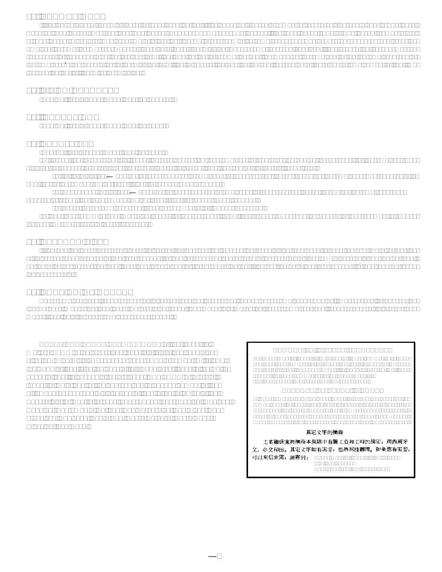### **17. EXEMPTIONS**

 If, in the opinion of the Division after due investigation, it is found that the enforcement of any provision contained in Section 7, Records; Section 12, Rest Periods; Section 13, Change Rooms and Resting Facilities; Section 14, Seats; Section 15, Temperature; or Section 16, Elevators, would not materially affect the welfare or comfort of employees and would work an undue hardship on the employer, exemption may be made at the discretion of the Division. Such exemptions shall be in writing to be effective and may be revoked after reasonable notice is given in writing. Application for exemption shall be made by the employer or by the employee and/or the employee's representative to the Division in writing. A copy of the application shall be posted at the place of employment at the time the application is filed with the Division.

### **18. FILING REPORTS**

(See California Labor Code, Section 1174(a))

### **19. INSPECTION**

(See California Labor Code, Section 1174)

### **20. PENALTIES**

(See California Labor Code, Section 1199)

 (A) In addition to any other civil penalties provided by law, any employer or any other person acting on behalf of the employer who violates, or causes to be violated, the provisions of this order, shall be subject to the civil penalty of:

 (1) Initial Violation — \$50.00 for each underpaid employee for each pay period during which the employee was underpaid in addition to the amount which is sufficient to recover unpaid wages.

 (2) Subsequent Violations — \$100.00 for each underpaid employee for each pay period during which the employee was underpaid in addition to an amount which is sufficient to recover unpaid wages.

(3) The affected employee shall receive payment of all wages recovered.

 (B) The labor commissioner may also issue citations pursuant to California Labor Code Section 1197.1 for non-payment of wages for overtime work in violation of this order.

### **21. SEPARABILITY**

 If the application of any provision of this order, or any section, subsection, subdivision, sentence, clause, phrase, word, or portion of this order should be held invalid or unconstitutional or unauthorized or prohibited by statute, the remaining provisions thereof shall not be affected thereby, but shall continue to be given full force and effect as if the part so held invalid or unconstitutional had not been included herein.

### **22. POSTING OF ORDER**

 Every employer shall keep a copy of this order posted in an area frequented by employees where it may be easily read during the workday. Where the location of work or other conditions make this impractical, every employer shall keep a copy of this order and make it available to every employee upon request.

 Welfare Commission orders and reports of violations should be directed to the Division of Labor Standards Enforcement. A listing of the DLSE offices is on the back of this wage order. Look in the white pages of your telephone directory under CALIFORNIA, State of, Industrial Relations for the address and telephone number of the office nearest you.The Division has offices in the following cities: Bakersfield, El Centro, Fresno, Long Beach, Los Angeles, Oakland, Redding, Sacramento, Salinas, San Bernardino, San Diego, San Stockton, Van Nuys. **QUESTIONS ABOUT ENFORCEMENT** of the Industrial Francisco, San Jose, Santa Ana, Santa Barbara, Santa Rosa,

#### **SUMMARIES IN OTHER LANGUAGES**

**The Department of Industrial Relations will make summaries of wage and hour requirements in this Order available in Spanish, Chinese and certain other languages when it is feasible to do so. Mail your request for such summaries to the Department at: p.O. box 420603, San Francisco, CA 94142-0603.** 

#### **RESUMEN EN OTROS IDIOMAS**

**El Departamento de Relaciones Industriales confeccionara un re sumen sobre los requisitos de salario y horario de esta Disposicion en español, chino y algunos otros idiomas cuando sea posible hacerlo. Envie por correo su pedido por dichos resumenes al Departamento a: p.O. box 420603, San Francisco, CA 94142-0603.**  1

#### 其它文字的摘錄

工業關係處將摘錄本規則中有關工資和工時的規定,用西班牙 文、中文印出。其宅文字如有需要,也將同樣辦理。如果您有需要, 可以來信索閱, 請**寄**到: Department of Industrial Relations **P.O. box 420603 San Francisco, CA 94142-0603**